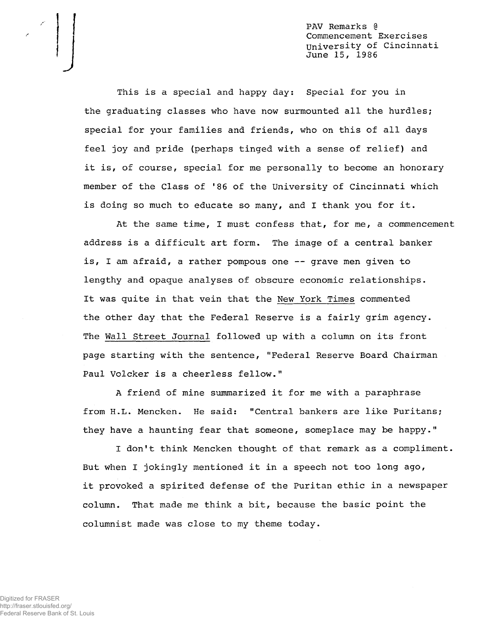PAV Remarks @ Commencement Exercises University of Cincinnati June 15, 1986

This is a special and happy day: Special for you in the graduating classes who have now surmounted all the hurdles; special for your families and friends, who on this of all days feel joy and pride (perhaps tinged with a sense of relief) and it is, of course, special for me personally to become an honorary member of the Class of '86 of the University of Cincinnati which is doing so much to educate so many, and I thank you for it.

At the same time, I must confess that, for me, a commencement address is a difficult art form. The image of a central banker is, I am afraid, a rather pompous one — grave men given to lengthy and opaque analyses of obscure economic relationships. It was quite in that vein that the New York Times commented the other day that the Federal Reserve is a fairly grim agency. The Wall Street Journal followed up with a column on its front page starting with the sentence, "Federal Reserve Board Chairman Paul Volcker is a cheerless fellow."

A friend of mine summarized it for me with a paraphrase from H.L. Mencken. He said: "Central bankers are like Puritans; they have a haunting fear that someone, someplace may be happy."

I don't think Mencken thought of that remark as a compliment. But when I jokingly mentioned it in a speech not too long ago, it provoked a spirited defense of the Puritan ethic in a newspaper column. That made me think a bit, because the basic point the columnist made was close to my theme today.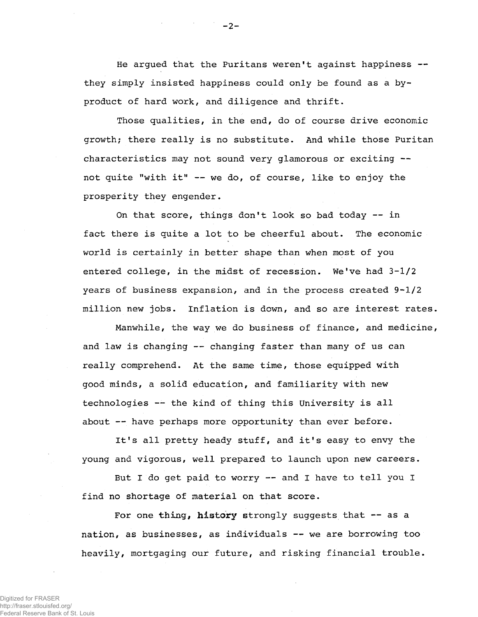He argued that the Puritans weren't against happiness -they simply insisted happiness could only be found as a byproduct of hard work, and diligence and thrift.

Those qualities, in the end, do of course drive economic growth; there really is no substitute. And while those Puritan characteristics may not sound very glamorous or exciting not quite "with it" — we do, of course, like to enjoy the prosperity they engender.

On that score, things don't look so bad today — in fact there is quite a lot to be cheerful about. The economic world is certainly in better shape than when most of you entered college, in the midst of recession. We've had **3-1/2** years of business expansion, and in the process created **9-1/2** million new jobs. Inflation is down, and so are interest rates.

Manwhile, the way we do business of finance, and medicine, and law is changing -- changing faster than many of us can really comprehend. At the same time, those equipped with good minds, a solid education, and familiarity with new technologies -- the kind of thing this University is all about — have perhaps more opportunity than ever before.

It's all pretty heady stuff, and it's easy to envy the young and vigorous, well prepared to launch upon new careers.

But I do get paid to worry — and I have to tell you I find no shortage of material on that score.

For one thing, history strongly suggests that -- as a nation, as businesses, as individuals — we are borrowing too heavily, mortgaging our future, and risking financial trouble.

 $-2$  -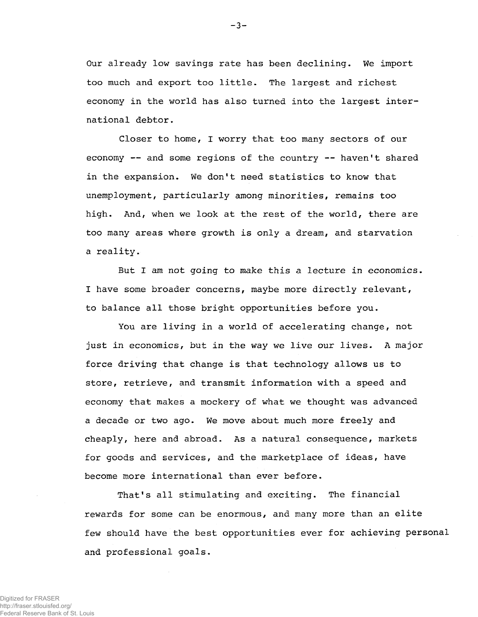Our already low savings rate has been declining. We import too much and export too little. The largest and richest economy in the world has also turned into the largest international debtor.

Closer to home, I worry that too many sectors of our economy -- and some regions of the country -- haven't shared in the expansion. We don't need statistics to know that unemployment, particularly among minorities, remains too high. And, when we look at the rest of the world, there are too many areas where growth is only a dream, and starvation a reality.

But I am not going to make this a lecture in economics. I have some broader concerns, maybe more directly relevant, to balance all those bright opportunities before you.

You are living in a world of accelerating change, not just in economics, but in the way we live our lives. A major force driving that change is that technology allows us to store, retrieve, and transmit information with a speed and economy that makes a mockery of what we thought was advanced a decade or two ago. We move about much more freely and cheaply, here and abroad. As a natural consequence, markets for goods and services, and the marketplace of ideas, have become more international than ever before.

That's all stimulating and exciting. The financial rewards for some can be enormous, and many more than an elite few should have the best opportunities ever for achieving personal and professional goals.

 $-3-$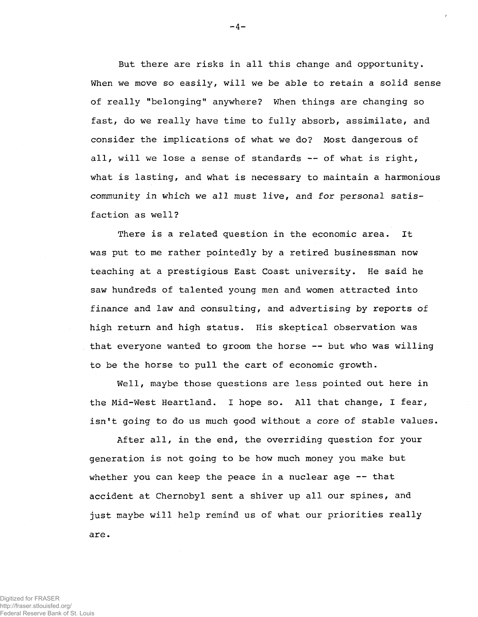But there are risks in all this change and opportunity. When we move so easily, will we be able to retain a solid sense of really "belonging" anywhere? When things are changing so fast, do we really have time to fully absorb, assimilate, and consider the implications of what we do? Most dangerous of all, will we lose a sense of standards — of what is right, what is lasting, and what is necessary to maintain a harmonious community in which we all must live, and for personal satisfaction as well?

There is a related question in the economic area. It was put to me rather pointedly by a retired businessman now teaching at a prestigious East Coast university. He said he saw hundreds of talented young men and women attracted into finance and law and consulting, and advertising by reports of high return and high status. His skeptical observation was that everyone wanted to groom the horse — but who was willing to be the horse to pull the cart of economic growth.

Well, maybe those questions are less pointed out here in the Mid-West Heartland. I hope so. All that change, I fear, isn't going to do us much good without a core of stable values.

After all, in the end, the overriding question for your generation is not going to be how much money you make but whether you can keep the peace in a nuclear age -- that accident at Chernobyl sent a shiver up all our spines, and just maybe will help remind us of what our priorities really are.

Digitized for FRASER http://fraser.stlouisfed.org/ Federal Reserve Bank of St. Louis  $-4 -$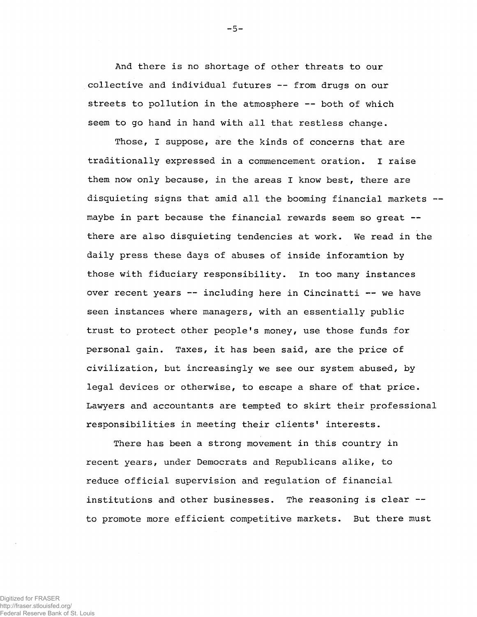And there is no shortage of other threats to our collective and individual futures — from drugs on our streets to pollution in the atmosphere — both of which seem to go hand in hand with all that restless change.

Those, I suppose, are the kinds of concerns that are traditionally expressed in a commencement oration. I raise them now only because, in the areas I know best, there are disquieting signs that amid all the booming financial markets maybe in part because the financial rewards seem so great -there are also disquieting tendencies at work. We read in the daily press these days of abuses of inside inforamtion by those with fiduciary responsibility. In too many instances over recent years — including here in Cincinatti — we have seen instances where managers, with an essentially public trust to protect other people's money, use those funds for personal gain. Taxes, it has been said, are the price of civilization, but increasingly we see our system abused, by legal devices or otherwise, to escape a share of that price. Lawyers and accountants are tempted to skirt their professional responsibilities in meeting their clients' interests.

There has been a strong movement in this country in recent years, under Democrats and Republicans alike, to reduce official supervision and regulation of financial institutions and other businesses. The reasoning is clear -to promote more efficient competitive markets. But there must

Digitized for FRASER http://fraser.stlouisfed.org/ Federal Reserve Bank of St. Louis  $-5 -$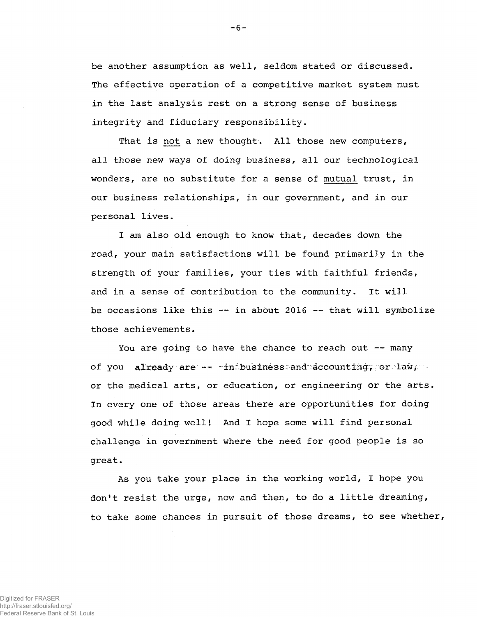be another assumption as well, seldom stated or discussed. The effective operation of a competitive market system must in the last analysis rest on a strong sense of business integrity and fiduciary responsibility.

That is not a new thought. All those new computers, all those new ways of doing business, all our technological wonders, are no substitute for a sense of mutual trust, in our business relationships, in our government, and in our personal lives.

I am also old enough to know that, decades down the road, your main satisfactions will be found primarily in the strength of your families, your ties with faithful friends, and in a sense of contribution to the community. It will be occasions like this — in about 2016 — that will symbolize those achievements.

You are going to have the chance to reach out -- many of you already are — - inibusiness:and accounting; or law, we or the medical arts, or education, or engineering or the arts. In every one of those areas there are opportunities for doing good while doing wellI And I hope some will find personal challenge in government where the need for good people is so great.

As you take your place in the working world, I hope you don't resist the urge, now and then, to do a little dreaming, to take some chances in pursuit of those dreams, to see whether,

Digitized for FRASER http://fraser.stlouisfed.org/ Federal Reserve Bank of St. Louis